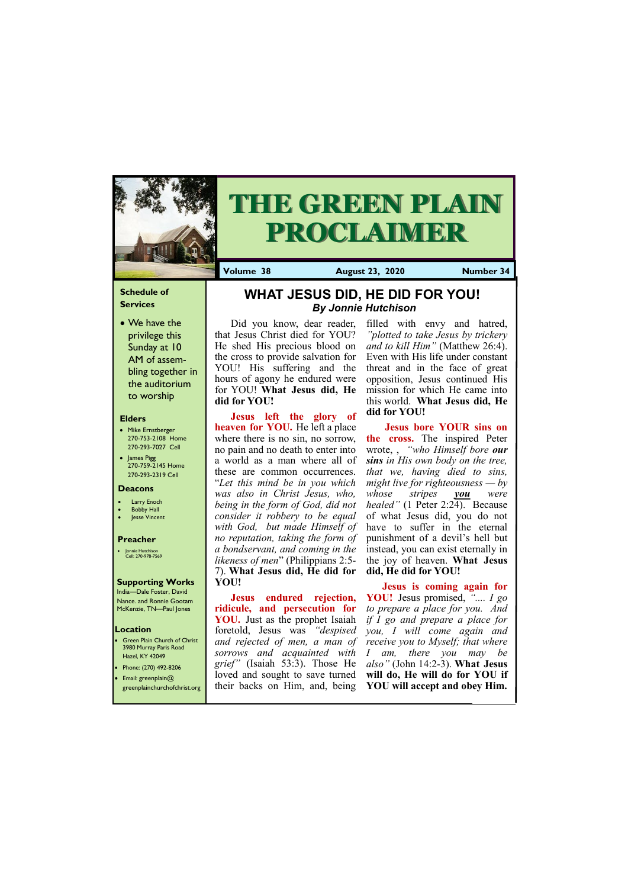## **Schedule of Services**

• We have the privilege this Sunday at 10 AM of assembling together in the auditorium to worship

#### **Elders**

- Mike Ernstberger 270-753-2108 Home 270-293-7027 Cell
- James Pigg 270-759-2145 Home 270-293-2319 Cell

## **Location**

• Green Plain Church of Christ 3980 Murray Paris Road Hazel, KY 42049 • Phone: (270) 492-8206



# **THE GREEN PLAIN PROCLAIMER**

**Volume 38 August 23, 2020 Number 34**

#### **Deacons**

- **Larry Enoch**
- **Bobby Hall**
- Jesse Vincent

### **Preacher**

• Jonnie Hutchison Cell: 270-978-7569

## **Supporting Works**

India—Dale Foster, David Nance. and Ronnie Gootam McKenzie, TN—Paul Jones

Did you know, dear reader, that Jesus Christ died for YOU? He shed His precious blood on the cross to provide salvation for YOU! His suffering and the hours of agony he endured were for YOU! **What Jesus did, He did for YOU!**

**Jesus left the glory of heaven for YOU.** He left a place where there is no sin, no sorrow, no pain and no death to enter into a world as a man where all of these are common occurrences. "*Let this mind be in you which was also in Christ Jesus, who, being in the form of God, did not consider it robbery to be equal with God, but made Himself of no reputation, taking the form of a bondservant, and coming in the likeness of men*" (Philippians 2:5- 7). **What Jesus did, He did for YOU!**

• Email: greenplain@ greenplainchurchofchrist.org loved and sought to save turned **will do, He will do for YOU if**  their backs on Him, and, being **YOU will accept and obey Him.**

filled with envy and hatred, *"plotted to take Jesus by trickery and to kill Him"* (Matthew 26:4). Even with His life under constant threat and in the face of great opposition, Jesus continued His mission for which He came into this world. **What Jesus did, He did for YOU!**

**Jesus endured rejection, ridicule, and persecution for YOU.** Just as the prophet Isaiah foretold, Jesus was *"despised and rejected of men, a man of grief"* (Isaiah 53:3). Those He *also"* (John 14:2-3). **What Jesus** 

*sorrows and acquainted with I am, there you may be*  **Jesus is coming again for YOU!** Jesus promised, *".... I go to prepare a place for you. And if I go and prepare a place for you, I will come again and receive you to Myself; that where* 

**Jesus bore YOUR sins on the cross.** The inspired Peter wrote, , *"who Himself bore our sins in His own body on the tree, that we, having died to sins, might live for righteousness — by whose stripes you were healed"* (1 Peter 2:24). Because of what Jesus did, you do not have to suffer in the eternal punishment of a devil's hell but instead, you can exist eternally in the joy of heaven. **What Jesus did, He did for YOU!**

# **WHAT JESUS DID, HE DID FOR YOU!**  *By Jonnie Hutchison*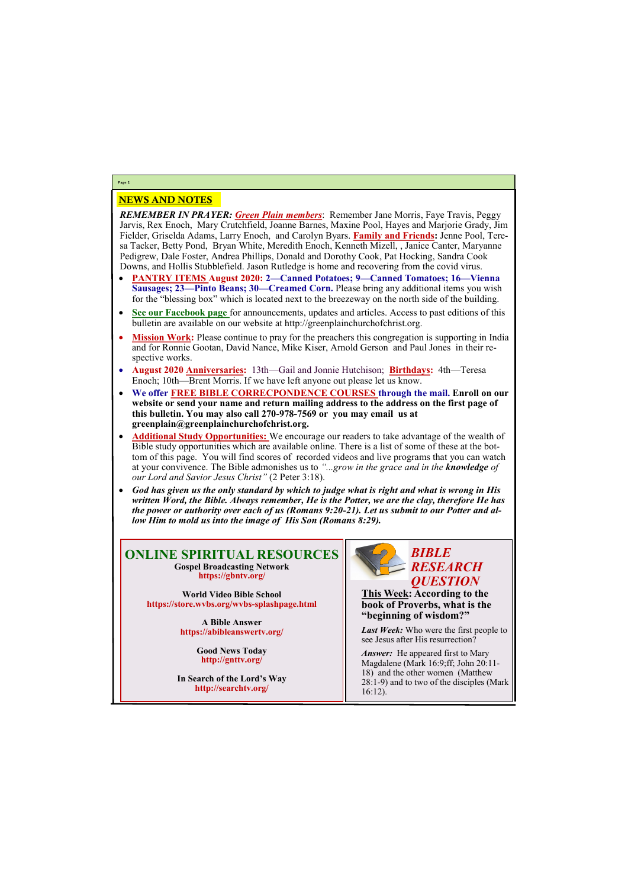## NEWS AND NOTES

*REMEMBER IN PRAYER: Green Plain members*: Remember Jane Morris, Faye Travis, Peggy Jarvis, Rex Enoch, Mary Crutchfield, Joanne Barnes, Maxine Pool, Hayes and Marjorie Grady, Jim Fielder, Griselda Adams, Larry Enoch, and Carolyn Byars. **Family and Friends:** Jenne Pool, Teresa Tacker, Betty Pond, Bryan White, Meredith Enoch, Kenneth Mizell, , Janice Canter, Maryanne Pedigrew, Dale Foster, Andrea Phillips, Donald and Dorothy Cook, Pat Hocking, Sandra Cook Downs, and Hollis Stubblefield. Jason Rutledge is home and recovering from the covid virus.

- **PANTRY ITEMS August 2020: 2—Canned Potatoes; 9—Canned Tomatoes; 16—Vienna Sausages; 23—Pinto Beans; 30—Creamed Corn.** Please bring any additional items you wish for the "blessing box" which is located next to the breezeway on the north side of the building.
- **See our Facebook page** for announcements, updates and articles. Access to past editions of this bulletin are available on our website at http://greenplainchurchofchrist.org.
- Mission Work: Please continue to pray for the preachers this congregation is supporting in India and for Ronnie Gootan, David Nance, Mike Kiser, Arnold Gerson and Paul Jones in their respective works.
- **August 2020 Anniversaries:** 13th—Gail and Jonnie Hutchison; **Birthdays:** 4th—Teresa Enoch; 10th—Brent Morris. If we have left anyone out please let us know.
- **We offer FREE BIBLE CORRECPONDENCE COURSES through the mail. Enroll on our website or send your name and return mailing address to the address on the first page of this bulletin. You may also call 270-978-7569 or you may email us at greenplain@greenplainchurchofchrist.org.**
- **Additional Study Opportunities:** We encourage our readers to take advantage of the wealth of Bible study opportunities which are available online. There is a list of some of these at the bottom of this page. You will find scores of recorded videos and live programs that you can watch at your convivence. The Bible admonishes us to *"...grow in the grace and in the knowledge of our Lord and Savior Jesus Christ"* (2 Peter 3:18).
- *God has given us the only standard by which to judge what is right and what is wrong in His written Word, the Bible. Always remember, He is the Potter, we are the clay, therefore He has the power or authority over each of us (Romans 9:20-21). Let us submit to our Potter and allow Him to mold us into the image of His Son (Romans 8:29).*

*Answer:* He appeared first to Mary Magdalene (Mark 16:9;ff; John 20:11- 18) and the other women (Matthew 28:1-9) and to two of the disciples (Mark 16:12).

# **Page 2**

## **ONLINE SPIRITUAL RESOURCES Gospel Broadcasting Network https://gbntv.org/**

**World Video Bible School https://store.wvbs.org/wvbs-splashpage.html**

> **A Bible Answer https://abibleanswertv.org/**

> > **Good News Today http://gnttv.org/**

**In Search of the Lord's Way http://searchtv.org/**



**This Week: According to the book of Proverbs, what is the "beginning of wisdom?"**

*Last Week:* Who were the first people to see Jesus after His resurrection?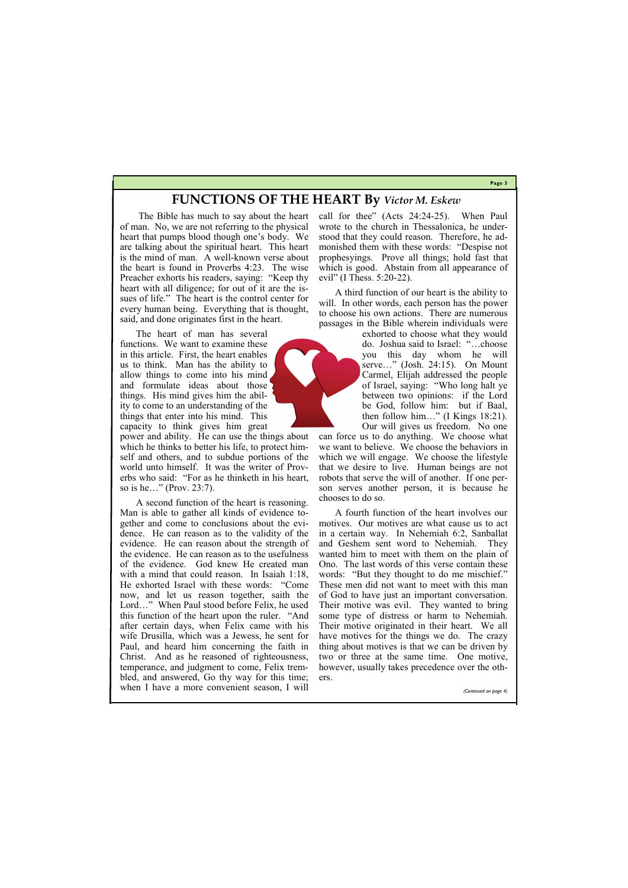**Page 3**

# **FUNCTIONS OF THE HEART By** *Victor M. Eskew*

The Bible has much to say about the heart of man. No, we are not referring to the physical heart that pumps blood though one's body. We are talking about the spiritual heart. This heart is the mind of man. A well-known verse about the heart is found in Proverbs 4:23. The wise Preacher exhorts his readers, saying: "Keep thy heart with all diligence; for out of it are the issues of life." The heart is the control center for every human being. Everything that is thought, said, and done originates first in the heart.

The heart of man has several functions. We want to examine these in this article. First, the heart enables us to think. Man has the ability to allow things to come into his mind and formulate ideas about those things. His mind gives him the ability to come to an understanding of the things that enter into his mind. This capacity to think gives him great

call for thee" (Acts 24:24-25). When Paul wrote to the church in Thessalonica, he understood that they could reason. Therefore, he admonished them with these words: "Despise not prophesyings. Prove all things; hold fast that which is good. Abstain from all appearance of evil" (I Thess. 5:20-22).

power and ability. He can use the things about which he thinks to better his life, to protect himself and others, and to subdue portions of the world unto himself. It was the writer of Proverbs who said: "For as he thinketh in his heart, so is he…" (Prov. 23:7).

A second function of the heart is reasoning. Man is able to gather all kinds of evidence together and come to conclusions about the evidence. He can reason as to the validity of the evidence. He can reason about the strength of the evidence. He can reason as to the usefulness of the evidence. God knew He created man with a mind that could reason. In Isaiah 1:18, He exhorted Israel with these words: "Come now, and let us reason together, saith the Lord…" When Paul stood before Felix, he used this function of the heart upon the ruler. "And after certain days, when Felix came with his wife Drusilla, which was a Jewess, he sent for Paul, and heard him concerning the faith in Christ. And as he reasoned of righteousness, temperance, and judgment to come, Felix trem-

A third function of our heart is the ability to will. In other words, each person has the power to choose his own actions. There are numerous passages in the Bible wherein individuals were

> exhorted to choose what they would do. Joshua said to Israel: "…choose you this day whom he will serve…" (Josh. 24:15). On Mount Carmel, Elijah addressed the people of Israel, saying: "Who long halt ye between two opinions: if the Lord be God, follow him: but if Baal, then follow him…" (I Kings 18:21). Our will gives us freedom. No one

bled, and answered, Go thy way for this time; when I have a more convenient season, I will ers. *(Continued on page 4)*

can force us to do anything. We choose what we want to believe. We choose the behaviors in which we will engage. We choose the lifestyle that we desire to live. Human beings are not robots that serve the will of another. If one person serves another person, it is because he chooses to do so.

A fourth function of the heart involves our motives. Our motives are what cause us to act in a certain way. In Nehemiah 6:2, Sanballat and Geshem sent word to Nehemiah. They wanted him to meet with them on the plain of Ono. The last words of this verse contain these words: "But they thought to do me mischief." These men did not want to meet with this man of God to have just an important conversation. Their motive was evil. They wanted to bring some type of distress or harm to Nehemiah. Their motive originated in their heart. We all have motives for the things we do. The crazy thing about motives is that we can be driven by two or three at the same time. One motive, however, usually takes precedence over the oth-